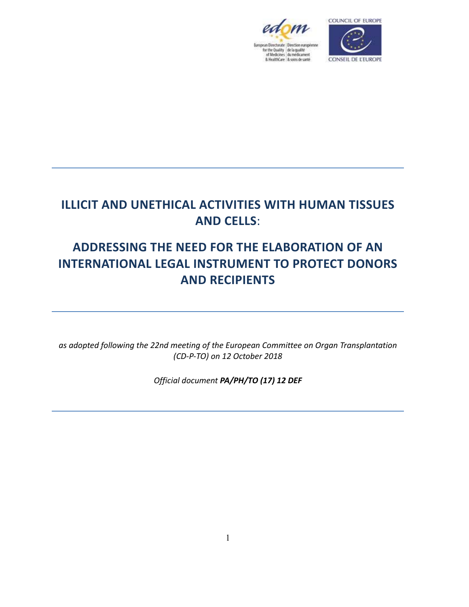



# **ILLICIT AND UNETHICAL ACTIVITIES WITH HUMAN TISSUES AND CELLS**:

# **ADDRESSING THE NEED FOR THE ELABORATION OF AN INTERNATIONAL LEGAL INSTRUMENT TO PROTECT DONORS AND RECIPIENTS**

*as adopted following the 22nd meeting of the European Committee on Organ Transplantation (CD-P-TO) on 12 October 2018* 

*Official document PA/PH/TO (17) 12 DEF*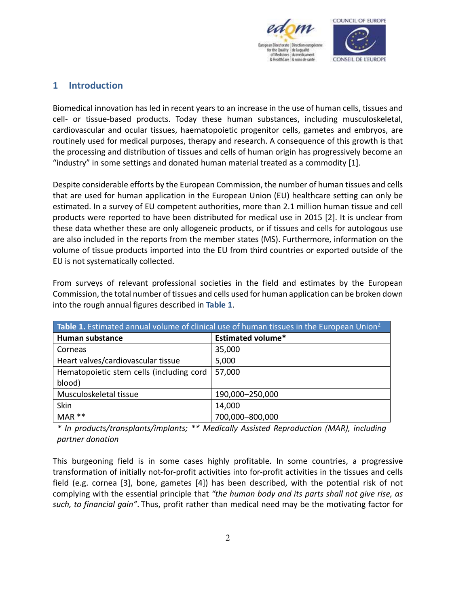

## **1 Introduction**

Biomedical innovation has led in recent years to an increase in the use of human cells, tissues and cell- or tissue-based products. Today these human substances, including musculoskeletal, cardiovascular and ocular tissues, haematopoietic progenitor cells, gametes and embryos, are routinely used for medical purposes, therapy and research. A consequence of this growth is that the processing and distribution of tissues and cells of human origin has progressively become an "industry" in some settings and donated human material treated as a commodity [1].

Despite considerable efforts by the European Commission, the number of human tissues and cells that are used for human application in the European Union (EU) healthcare setting can only be estimated. In a survey of EU competent authorities, more than 2.1 million human tissue and cell products were reported to have been distributed for medical use in 2015 [2]. It is unclear from these data whether these are only allogeneic products, or if tissues and cells for autologous use are also included in the reports from the member states (MS). Furthermore, information on the volume of tissue products imported into the EU from third countries or exported outside of the EU is not systematically collected.

From surveys of relevant professional societies in the field and estimates by the European Commission, the total number of tissues and cells used for human application can be broken down into the rough annual figures described in **Table 1**.

| Table 1. Estimated annual volume of clinical use of human tissues in the European Union <sup>2</sup> |                          |  |  |
|------------------------------------------------------------------------------------------------------|--------------------------|--|--|
| <b>Human substance</b>                                                                               | <b>Estimated volume*</b> |  |  |
| Corneas                                                                                              | 35,000                   |  |  |
| Heart valves/cardiovascular tissue                                                                   | 5,000                    |  |  |
| Hematopoietic stem cells (including cord                                                             | 57,000                   |  |  |
| blood)                                                                                               |                          |  |  |
| Musculoskeletal tissue                                                                               | 190,000-250,000          |  |  |
| Skin                                                                                                 | 14,000                   |  |  |
| $MAR**$                                                                                              | 700,000-800,000          |  |  |

*\* In products/transplants/implants; \*\* Medically Assisted Reproduction (MAR), including partner donation*

This burgeoning field is in some cases highly profitable. In some countries, a progressive transformation of initially not-for-profit activities into for-profit activities in the tissues and cells field (e.g. cornea [3], bone, gametes [4]) has been described, with the potential risk of not complying with the essential principle that *"the human body and its parts shall not give rise, as such, to financial gain"*. Thus, profit rather than medical need may be the motivating factor for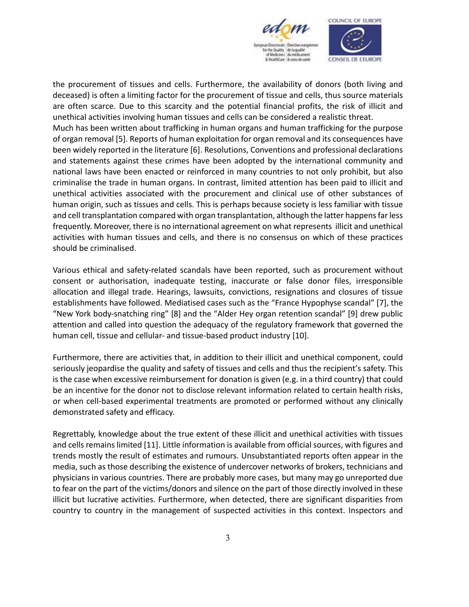

the procurement of tissues and cells. Furthermore, the availability of donors (both living and deceased) is often a limiting factor for the procurement of tissue and cells, thus source materials are often scarce. Due to this scarcity and the potential financial profits, the risk of illicit and unethical activities involving human tissues and cells can be considered a realistic threat. Much has been written about trafficking in human organs and human trafficking for the purpose of organ removal [5]. Reports of human exploitation for organ removal and its consequences have been widely reported in the literature [6]. Resolutions, Conventions and professional declarations and statements against these crimes have been adopted by the international community and national laws have been enacted or reinforced in many countries to not only prohibit, but also criminalise the trade in human organs. In contrast, limited attention has been paid to illicit and unethical activities associated with the procurement and clinical use of other substances of human origin, such as tissues and cells. This is perhaps because society is less familiar with tissue and cell transplantation compared with organ transplantation, although the latter happens far less frequently. Moreover, there is no international agreement on what represents illicit and unethical activities with human tissues and cells, and there is no consensus on which of these practices should be criminalised.

Various ethical and safety-related scandals have been reported, such as procurement without consent or authorisation, inadequate testing, inaccurate or false donor files, irresponsible allocation and illegal trade. Hearings, lawsuits, convictions, resignations and closures of tissue establishments have followed. Mediatised cases such as the "France Hypophyse scandal" [7], the "New York body-snatching ring" [8] and the "Alder Hey organ retention scandal" [9] drew public attention and called into question the adequacy of the regulatory framework that governed the human cell, tissue and cellular- and tissue-based product industry [10].

Furthermore, there are activities that, in addition to their illicit and unethical component, could seriously jeopardise the quality and safety of tissues and cells and thus the recipient's safety. This is the case when excessive reimbursement for donation is given (e.g. in a third country) that could be an incentive for the donor not to disclose relevant information related to certain health risks, or when cell-based experimental treatments are promoted or performed without any clinically demonstrated safety and efficacy.

Regrettably, knowledge about the true extent of these illicit and unethical activities with tissues and cells remains limited [11]. Little information is available from official sources, with figures and trends mostly the result of estimates and rumours. Unsubstantiated reports often appear in the media, such as those describing the existence of undercover networks of brokers, technicians and physicians in various countries. There are probably more cases, but many may go unreported due to fear on the part of the victims/donors and silence on the part of those directly involved in these illicit but lucrative activities. Furthermore, when detected, there are significant disparities from country to country in the management of suspected activities in this context. Inspectors and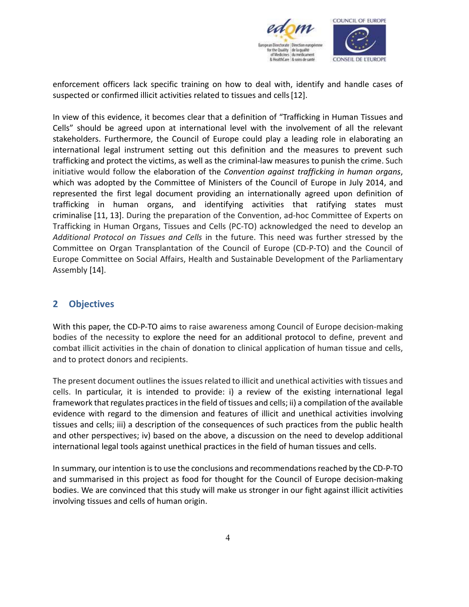

enforcement officers lack specific training on how to deal with, identify and handle cases of suspected or confirmed illicit activities related to tissues and cells [12].

In view of this evidence, it becomes clear that a definition of "Trafficking in Human Tissues and Cells" should be agreed upon at international level with the involvement of all the relevant stakeholders. Furthermore, the Council of Europe could play a leading role in elaborating an international legal instrument setting out this definition and the measures to prevent such trafficking and protect the victims, as well as the criminal-law measures to punish the crime. Such initiative would follow the elaboration of the *Convention against trafficking in human organs*, which was adopted by the Committee of Ministers of the Council of Europe in July 2014, and represented the first legal document providing an internationally agreed upon definition of trafficking in human organs, and identifying activities that ratifying states must criminalise [11, 13]. During the preparation of the Convention, ad-hoc Committee of Experts on Trafficking in Human Organs, Tissues and Cells (PC-TO) acknowledged the need to develop an *Additional Protocol on Tissues and Cells* in the future. This need was further stressed by the Committee on Organ Transplantation of the Council of Europe (CD-P-TO) and the Council of Europe Committee on Social Affairs, Health and Sustainable Development of the Parliamentary Assembly [14].

# **2 Objectives**

With this paper, the CD-P-TO aims to raise awareness among Council of Europe decision-making bodies of the necessity to explore the need for an additional protocol to define, prevent and combat illicit activities in the chain of donation to clinical application of human tissue and cells, and to protect donors and recipients.

The present document outlines the issues related to illicit and unethical activities with tissues and cells. In particular, it is intended to provide: i) a review of the existing international legal framework that regulates practices in the field of tissues and cells; ii) a compilation of the available evidence with regard to the dimension and features of illicit and unethical activities involving tissues and cells; iii) a description of the consequences of such practices from the public health and other perspectives; iv) based on the above, a discussion on the need to develop additional international legal tools against unethical practices in the field of human tissues and cells.

In summary, our intention is to use the conclusions and recommendations reached by the CD-P-TO and summarised in this project as food for thought for the Council of Europe decision-making bodies. We are convinced that this study will make us stronger in our fight against illicit activities involving tissues and cells of human origin.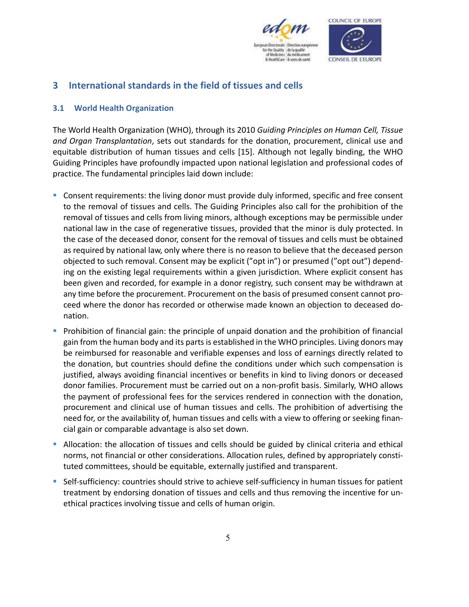

# **3 International standards in the field of tissues and cells**

#### **3.1 World Health Organization**

The World Health Organization (WHO), through its 2010 *Guiding Principles on Human Cell, Tissue and Organ Transplantation*, sets out standards for the donation, procurement, clinical use and equitable distribution of human tissues and cells [15]. Although not legally binding, the WHO Guiding Principles have profoundly impacted upon national legislation and professional codes of practice. The fundamental principles laid down include:

- Consent requirements: the living donor must provide duly informed, specific and free consent to the removal of tissues and cells. The Guiding Principles also call for the prohibition of the removal of tissues and cells from living minors, although exceptions may be permissible under national law in the case of regenerative tissues, provided that the minor is duly protected. In the case of the deceased donor, consent for the removal of tissues and cells must be obtained as required by national law, only where there is no reason to believe that the deceased person objected to such removal. Consent may be explicit ("opt in") or presumed ("opt out") depending on the existing legal requirements within a given jurisdiction. Where explicit consent has been given and recorded, for example in a donor registry, such consent may be withdrawn at any time before the procurement. Procurement on the basis of presumed consent cannot proceed where the donor has recorded or otherwise made known an objection to deceased donation.
- **Prohibition of financial gain: the principle of unpaid donation and the prohibition of financial** gain from the human body and its parts is established in the WHO principles. Living donors may be reimbursed for reasonable and verifiable expenses and loss of earnings directly related to the donation, but countries should define the conditions under which such compensation is justified, always avoiding financial incentives or benefits in kind to living donors or deceased donor families. Procurement must be carried out on a non-profit basis. Similarly, WHO allows the payment of professional fees for the services rendered in connection with the donation, procurement and clinical use of human tissues and cells. The prohibition of advertising the need for, or the availability of, human tissues and cells with a view to offering or seeking financial gain or comparable advantage is also set down.
- Allocation: the allocation of tissues and cells should be guided by clinical criteria and ethical norms, not financial or other considerations. Allocation rules, defined by appropriately constituted committees, should be equitable, externally justified and transparent.
- Self-sufficiency: countries should strive to achieve self-sufficiency in human tissues for patient treatment by endorsing donation of tissues and cells and thus removing the incentive for unethical practices involving tissue and cells of human origin.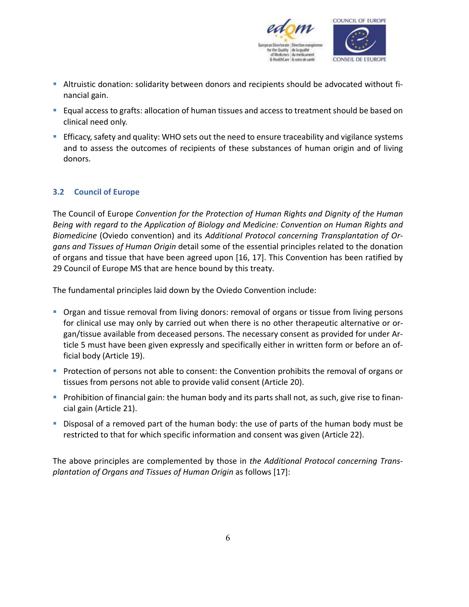

- Altruistic donation: solidarity between donors and recipients should be advocated without financial gain.
- **Equal access to grafts: allocation of human tissues and access to treatment should be based on** clinical need only.
- Efficacy, safety and quality: WHO sets out the need to ensure traceability and vigilance systems and to assess the outcomes of recipients of these substances of human origin and of living donors.

## **3.2 Council of Europe**

The Council of Europe *Convention for the Protection of Human Rights and Dignity of the Human Being with regard to the Application of Biology and Medicine: Convention on Human Rights and Biomedicine* (Oviedo convention) and its *Additional Protocol concerning Transplantation of Organs and Tissues of Human Origin* detail some of the essential principles related to the donation of organs and tissue that have been agreed upon [16, 17]. This Convention has been ratified by 29 Council of Europe MS that are hence bound by this treaty.

The fundamental principles laid down by the Oviedo Convention include:

- **Organ and tissue removal from living donors: removal of organs or tissue from living persons** for clinical use may only by carried out when there is no other therapeutic alternative or organ/tissue available from deceased persons. The necessary consent as provided for under Article 5 must have been given expressly and specifically either in written form or before an official body (Article 19).
- **Protection of persons not able to consent: the Convention prohibits the removal of organs or** tissues from persons not able to provide valid consent (Article 20).
- **Prohibition of financial gain: the human body and its parts shall not, as such, give rise to finan**cial gain (Article 21).
- Disposal of a removed part of the human body: the use of parts of the human body must be restricted to that for which specific information and consent was given (Article 22).

The above principles are complemented by those in *the Additional Protocol concerning Transplantation of Organs and Tissues of Human Origin* as follows [17]: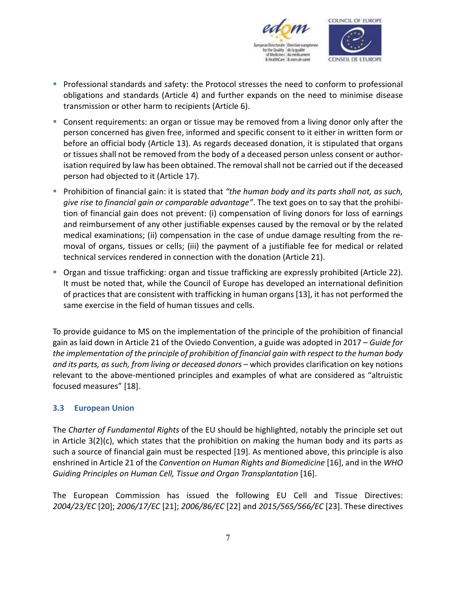

- **Professional standards and safety: the Protocol stresses the need to conform to professional** obligations and standards (Article 4) and further expands on the need to minimise disease transmission or other harm to recipients (Article 6).
- **Consent requirements: an organ or tissue may be removed from a living donor only after the** person concerned has given free, informed and specific consent to it either in written form or before an official body (Article 13). As regards deceased donation, it is stipulated that organs or tissues shall not be removed from the body of a deceased person unless consent or authorisation required by law has been obtained. The removal shall not be carried out if the deceased person had objected to it (Article 17).
- **Prohibition of financial gain: it is stated that** "the human body and its parts shall not, as such, *give rise to financial gain or comparable advantage"*. The text goes on to say that the prohibition of financial gain does not prevent: (i) compensation of living donors for loss of earnings and reimbursement of any other justifiable expenses caused by the removal or by the related medical examinations; (ii) compensation in the case of undue damage resulting from the removal of organs, tissues or cells; (iii) the payment of a justifiable fee for medical or related technical services rendered in connection with the donation (Article 21).
- Organ and tissue trafficking: organ and tissue trafficking are expressly prohibited (Article 22). It must be noted that, while the Council of Europe has developed an international definition of practices that are consistent with trafficking in human organs [13], it has not performed the same exercise in the field of human tissues and cells.

To provide guidance to MS on the implementation of the principle of the prohibition of financial gain as laid down in Article 21 of the Oviedo Convention, a guide was adopted in 2017 – *Guide for the implementation of the principle of prohibition of financial gain with respect to the human body*  and its parts, as such, from living or deceased donors – which provides clarification on key notions relevant to the above-mentioned principles and examples of what are considered as "altruistic focused measures" [18].

## **3.3 European Union**

The *Charter of Fundamental Rights* of the EU should be highlighted, notably the principle set out in Article 3(2)(c), which states that the prohibition on making the human body and its parts as such a source of financial gain must be respected [19]. As mentioned above, this principle is also enshrined in Article 21 of the *Convention on Human Rights and Biomedicine* [16], and in the *WHO Guiding Principles on Human Cell, Tissue and Organ Transplantation* [16].

The European Commission has issued the following EU Cell and Tissue Directives: *2004/23/EC* [20]; *2006/17/EC* [21]; *2006/86/EC* [22] and *2015/565/566/EC* [23]. These directives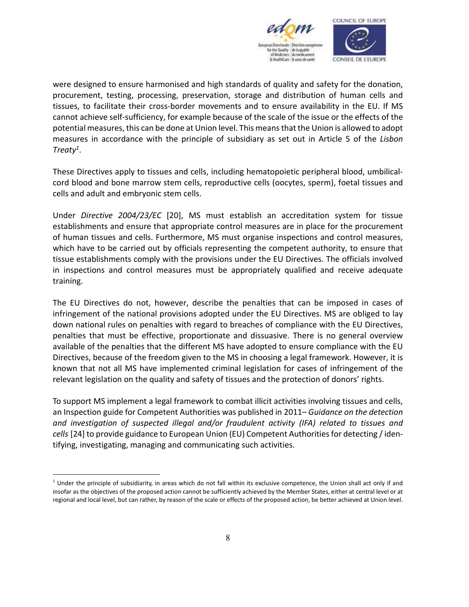

were designed to ensure harmonised and high standards of quality and safety for the donation, procurement, testing, processing, preservation, storage and distribution of human cells and tissues, to facilitate their cross-border movements and to ensure availability in the EU. If MS cannot achieve self-sufficiency, for example because of the scale of the issue or the effects of the potential measures, this can be done at Union level. This means that the Union is allowed to adopt measures in accordance with the principle of subsidiary as set out in Article 5 of the *Lisbon Treaty1* .

These Directives apply to tissues and cells, including hematopoietic peripheral blood, umbilicalcord blood and bone marrow stem cells, reproductive cells (oocytes, sperm), foetal tissues and cells and adult and embryonic stem cells.

Under *Directive 2004/23/EC* [20], MS must establish an accreditation system for tissue establishments and ensure that appropriate control measures are in place for the procurement of human tissues and cells. Furthermore, MS must organise inspections and control measures, which have to be carried out by officials representing the competent authority, to ensure that tissue establishments comply with the provisions under the EU Directives. The officials involved in inspections and control measures must be appropriately qualified and receive adequate training.

The EU Directives do not, however, describe the penalties that can be imposed in cases of infringement of the national provisions adopted under the EU Directives. MS are obliged to lay down national rules on penalties with regard to breaches of compliance with the EU Directives, penalties that must be effective, proportionate and dissuasive. There is no general overview available of the penalties that the different MS have adopted to ensure compliance with the EU Directives, because of the freedom given to the MS in choosing a legal framework. However, it is known that not all MS have implemented criminal legislation for cases of infringement of the relevant legislation on the quality and safety of tissues and the protection of donors' rights.

To support MS implement a legal framework to combat illicit activities involving tissues and cells, an Inspection guide for Competent Authorities was published in 2011– *Guidance on the detection and investigation of suspected illegal and/or fraudulent activity (IFA) related to tissues and cells* [24] to provide guidance to European Union (EU) Competent Authorities for detecting / identifying, investigating, managing and communicating such activities.

 $\overline{a}$ 

 $<sup>1</sup>$  Under the principle of subsidiarity, in areas which do not fall within its exclusive competence, the Union shall act only if and</sup> insofar as the objectives of the proposed action cannot be sufficiently achieved by the Member States, either at central level or at regional and local level, but can rather, by reason of the scale or effects of the proposed action, be better achieved at Union level.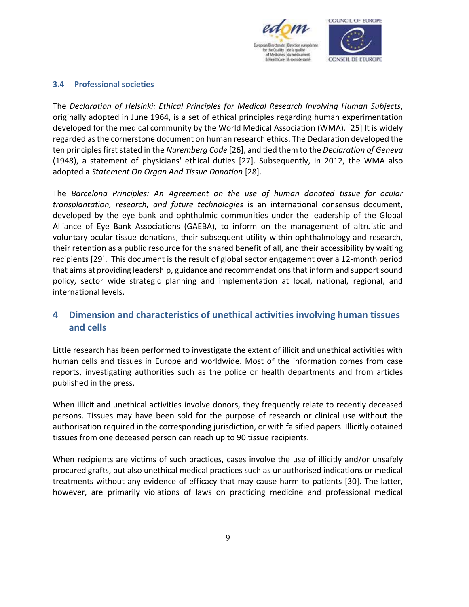

#### **3.4 Professional societies**

The *Declaration of Helsinki: Ethical Principles for Medical Research Involving Human Subjects*, originally adopted in June 1964, is a set of ethical principles regarding human experimentation developed for the medical community by the World Medical Association (WMA). [25] It is widely regarded as the cornerstone document on human research ethics. The Declaration developed the ten principles first stated in the *Nuremberg Code* [26], and tied them to the *Declaration of Geneva* (1948), a statement of physicians' ethical duties [27]. Subsequently, in 2012, the WMA also adopted a *Statement On Organ And Tissue Donation* [28].

The *Barcelona Principles: An Agreement on the use of human donated tissue for ocular transplantation, research, and future technologies* is an international consensus document, developed by the eye bank and ophthalmic communities under the leadership of the Global Alliance of Eye Bank Associations (GAEBA), to inform on the management of altruistic and voluntary ocular tissue donations, their subsequent utility within ophthalmology and research, their retention as a public resource for the shared benefit of all, and their accessibility by waiting recipients [29]. This document is the result of global sector engagement over a 12-month period that aims at providing leadership, guidance and recommendations that inform and support sound policy, sector wide strategic planning and implementation at local, national, regional, and international levels.

# **4 Dimension and characteristics of unethical activities involving human tissues and cells**

Little research has been performed to investigate the extent of illicit and unethical activities with human cells and tissues in Europe and worldwide. Most of the information comes from case reports, investigating authorities such as the police or health departments and from articles published in the press.

When illicit and unethical activities involve donors, they frequently relate to recently deceased persons. Tissues may have been sold for the purpose of research or clinical use without the authorisation required in the corresponding jurisdiction, or with falsified papers. Illicitly obtained tissues from one deceased person can reach up to 90 tissue recipients.

When recipients are victims of such practices, cases involve the use of illicitly and/or unsafely procured grafts, but also unethical medical practices such as unauthorised indications or medical treatments without any evidence of efficacy that may cause harm to patients [30]. The latter, however, are primarily violations of laws on practicing medicine and professional medical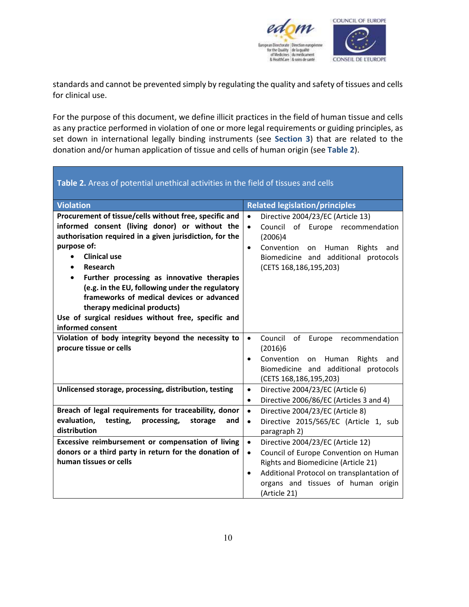

standards and cannot be prevented simply by regulating the quality and safety of tissues and cells for clinical use.

For the purpose of this document, we define illicit practices in the field of human tissue and cells as any practice performed in violation of one or more legal requirements or guiding principles, as set down in international legally binding instruments (see **Section 3**) that are related to the donation and/or human application of tissue and cells of human origin (see **Table 2**).

| Table 2. Areas of potential unethical activities in the field of tissues and cells                                                                                                                                                                                                                                                                                                                                                                                                                                   |                                                                                                                                                                                                                                         |  |  |  |
|----------------------------------------------------------------------------------------------------------------------------------------------------------------------------------------------------------------------------------------------------------------------------------------------------------------------------------------------------------------------------------------------------------------------------------------------------------------------------------------------------------------------|-----------------------------------------------------------------------------------------------------------------------------------------------------------------------------------------------------------------------------------------|--|--|--|
| <b>Violation</b>                                                                                                                                                                                                                                                                                                                                                                                                                                                                                                     | <b>Related legislation/principles</b>                                                                                                                                                                                                   |  |  |  |
| Procurement of tissue/cells without free, specific and<br>informed consent (living donor) or without the<br>authorisation required in a given jurisdiction, for the<br>purpose of:<br><b>Clinical use</b><br>$\bullet$<br>Research<br>$\bullet$<br>Further processing as innovative therapies<br>$\bullet$<br>(e.g. in the EU, following under the regulatory<br>frameworks of medical devices or advanced<br>therapy medicinal products)<br>Use of surgical residues without free, specific and<br>informed consent | Directive 2004/23/EC (Article 13)<br>$\bullet$<br>Council of Europe recommendation<br>$\bullet$<br>(2006)4<br>Convention<br>Human<br>Rights<br>and<br>$\bullet$<br>on<br>Biomedicine and additional protocols<br>(CETS 168,186,195,203) |  |  |  |
| Violation of body integrity beyond the necessity to<br>procure tissue or cells                                                                                                                                                                                                                                                                                                                                                                                                                                       | Council<br>οf<br>$\bullet$<br>Europe<br>recommendation<br>(2016)6<br>Convention<br>Rights<br>Human<br>and<br>on<br>$\bullet$<br>Biomedicine and additional protocols<br>(CETS 168,186,195,203)                                          |  |  |  |
| Unlicensed storage, processing, distribution, testing<br>Breach of legal requirements for traceability, donor<br>evaluation,<br>testing,<br>processing,<br>storage<br>and                                                                                                                                                                                                                                                                                                                                            | Directive 2004/23/EC (Article 6)<br>$\bullet$<br>Directive 2006/86/EC (Articles 3 and 4)<br>$\bullet$<br>Directive 2004/23/EC (Article 8)<br>$\bullet$<br>Directive 2015/565/EC (Article 1, sub<br>$\bullet$                            |  |  |  |
| distribution<br>Excessive reimbursement or compensation of living<br>donors or a third party in return for the donation of                                                                                                                                                                                                                                                                                                                                                                                           | paragraph 2)<br>$\bullet$<br>Directive 2004/23/EC (Article 12)<br>Council of Europe Convention on Human<br>$\bullet$                                                                                                                    |  |  |  |
| human tissues or cells                                                                                                                                                                                                                                                                                                                                                                                                                                                                                               | Rights and Biomedicine (Article 21)<br>Additional Protocol on transplantation of<br>$\bullet$<br>organs and tissues of human origin<br>(Article 21)                                                                                     |  |  |  |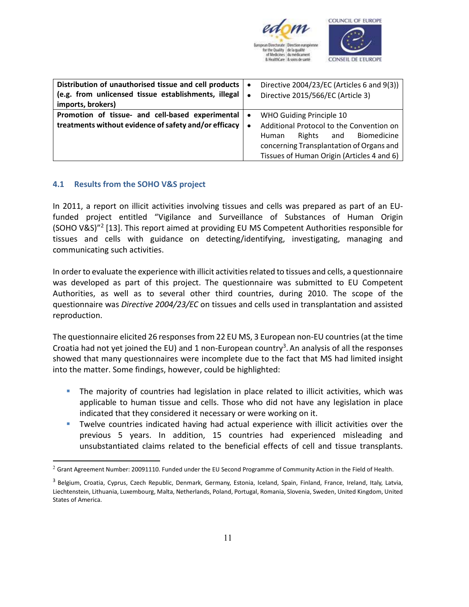

| Distribution of unauthorised tissue and cell products<br>(e.g. from unlicensed tissue establishments, illegal<br>imports, brokers) | $\bullet$<br>$\bullet$ | Directive 2004/23/EC (Articles 6 and 9(3))<br>Directive 2015/566/EC (Article 3)                                                                                                                         |
|------------------------------------------------------------------------------------------------------------------------------------|------------------------|---------------------------------------------------------------------------------------------------------------------------------------------------------------------------------------------------------|
| Promotion of tissue- and cell-based experimental<br>treatments without evidence of safety and/or efficacy                          | $\bullet$<br>$\bullet$ | WHO Guiding Principle 10<br>Additional Protocol to the Convention on<br>Biomedicine<br>Rights<br>Human<br>and<br>concerning Transplantation of Organs and<br>Tissues of Human Origin (Articles 4 and 6) |

## **4.1 Results from the SOHO V&S project**

 $\overline{a}$ 

In 2011, a report on illicit activities involving tissues and cells was prepared as part of an EUfunded project entitled "Vigilance and Surveillance of Substances of Human Origin (SOHO V&S)"<sup>2</sup> [13]. This report aimed at providing EU MS Competent Authorities responsible for tissues and cells with guidance on detecting/identifying, investigating, managing and communicating such activities.

In order to evaluate the experience with illicit activities related to tissues and cells, a questionnaire was developed as part of this project. The questionnaire was submitted to EU Competent Authorities, as well as to several other third countries, during 2010. The scope of the questionnaire was *Directive 2004/23/EC* on tissues and cells used in transplantation and assisted reproduction.

The questionnaire elicited 26 responses from 22 EU MS, 3 European non-EU countries (at the time Croatia had not yet joined the EU) and 1 non-European country<sup>3</sup>. An analysis of all the responses showed that many questionnaires were incomplete due to the fact that MS had limited insight into the matter. Some findings, however, could be highlighted:

- The majority of countries had legislation in place related to illicit activities, which was applicable to human tissue and cells. Those who did not have any legislation in place indicated that they considered it necessary or were working on it.
- Twelve countries indicated having had actual experience with illicit activities over the previous 5 years. In addition, 15 countries had experienced misleading and unsubstantiated claims related to the beneficial effects of cell and tissue transplants.

 $^2$  Grant Agreement Number: 20091110. Funded under the EU Second Programme of Community Action in the Field of Health.

<sup>&</sup>lt;sup>3</sup> Belgium, Croatia, Cyprus, Czech Republic, Denmark, Germany, Estonia, Iceland, Spain, Finland, France, Ireland, Italy, Latvia, Liechtenstein, Lithuania, Luxembourg, Malta, Netherlands, Poland, Portugal, Romania, Slovenia, Sweden, United Kingdom, United States of America.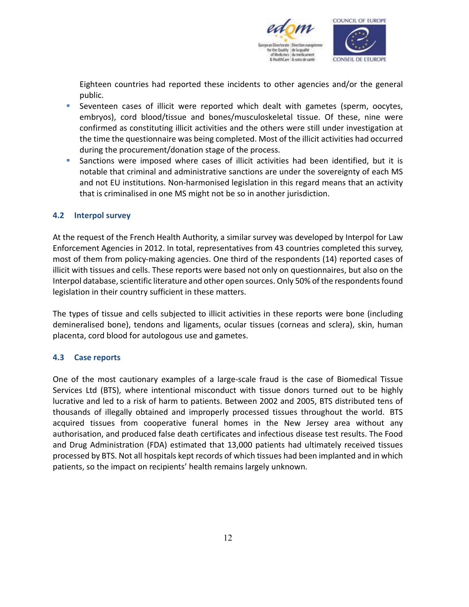

Eighteen countries had reported these incidents to other agencies and/or the general public.

- Seventeen cases of illicit were reported which dealt with gametes (sperm, oocytes, embryos), cord blood/tissue and bones/musculoskeletal tissue. Of these, nine were confirmed as constituting illicit activities and the others were still under investigation at the time the questionnaire was being completed. Most of the illicit activities had occurred during the procurement/donation stage of the process.
- Sanctions were imposed where cases of illicit activities had been identified, but it is notable that criminal and administrative sanctions are under the sovereignty of each MS and not EU institutions. Non-harmonised legislation in this regard means that an activity that is criminalised in one MS might not be so in another jurisdiction.

#### **4.2 Interpol survey**

At the request of the French Health Authority, a similar survey was developed by Interpol for Law Enforcement Agencies in 2012. In total, representatives from 43 countries completed this survey, most of them from policy-making agencies. One third of the respondents (14) reported cases of illicit with tissues and cells. These reports were based not only on questionnaires, but also on the Interpol database, scientific literature and other open sources. Only 50% of the respondents found legislation in their country sufficient in these matters.

The types of tissue and cells subjected to illicit activities in these reports were bone (including demineralised bone), tendons and ligaments, ocular tissues (corneas and sclera), skin, human placenta, cord blood for autologous use and gametes.

#### **4.3 Case reports**

One of the most cautionary examples of a large-scale fraud is the case of Biomedical Tissue Services Ltd (BTS), where intentional misconduct with tissue donors turned out to be highly lucrative and led to a risk of harm to patients. Between 2002 and 2005, BTS distributed tens of thousands of illegally obtained and improperly processed tissues throughout the world. BTS acquired tissues from cooperative funeral homes in the New Jersey area without any authorisation, and produced false death certificates and infectious disease test results. The Food and Drug Administration (FDA) estimated that 13,000 patients had ultimately received tissues processed by BTS. Not all hospitals kept records of which tissues had been implanted and in which patients, so the impact on recipients' health remains largely unknown.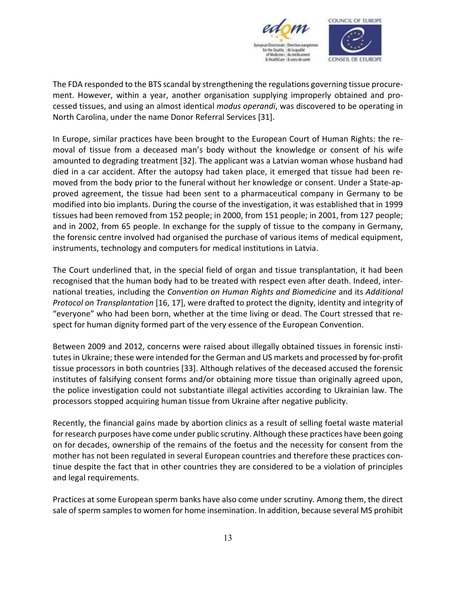

The FDA responded to the BTS scandal by strengthening the regulations governing tissue procurement. However, within a year, another organisation supplying improperly obtained and processed tissues, and using an almost identical *modus operandi*, was discovered to be operating in North Carolina, under the name Donor Referral Services [31].

In Europe, similar practices have been brought to the European Court of Human Rights: the removal of tissue from a deceased man's body without the knowledge or consent of his wife amounted to degrading treatment [32]. The applicant was a Latvian woman whose husband had died in a car accident. After the autopsy had taken place, it emerged that tissue had been removed from the body prior to the funeral without her knowledge or consent. Under a State-approved agreement, the tissue had been sent to a pharmaceutical company in Germany to be modified into bio implants. During the course of the investigation, it was established that in 1999 tissues had been removed from 152 people; in 2000, from 151 people; in 2001, from 127 people; and in 2002, from 65 people. In exchange for the supply of tissue to the company in Germany, the forensic centre involved had organised the purchase of various items of medical equipment, instruments, technology and computers for medical institutions in Latvia.

The Court underlined that, in the special field of organ and tissue transplantation, it had been recognised that the human body had to be treated with respect even after death. Indeed, international treaties, including the *Convention on Human Rights and Biomedicine* and its *Additional Protocol on Transplantation* [16, 17], were drafted to protect the dignity, identity and integrity of "everyone" who had been born, whether at the time living or dead. The Court stressed that respect for human dignity formed part of the very essence of the European Convention.

Between 2009 and 2012, concerns were raised about illegally obtained tissues in forensic institutes in Ukraine; these were intended for the German and US markets and processed by for-profit tissue processors in both countries [33]. Although relatives of the deceased accused the forensic institutes of falsifying consent forms and/or obtaining more tissue than originally agreed upon, the police investigation could not substantiate illegal activities according to Ukrainian law. The processors stopped acquiring human tissue from Ukraine after negative publicity.

Recently, the financial gains made by abortion clinics as a result of selling foetal waste material for research purposes have come under public scrutiny. Although these practices have been going on for decades, ownership of the remains of the foetus and the necessity for consent from the mother has not been regulated in several European countries and therefore these practices continue despite the fact that in other countries they are considered to be a violation of principles and legal requirements.

Practices at some European sperm banks have also come under scrutiny. Among them, the direct sale of sperm samples to women for home insemination. In addition, because several MS prohibit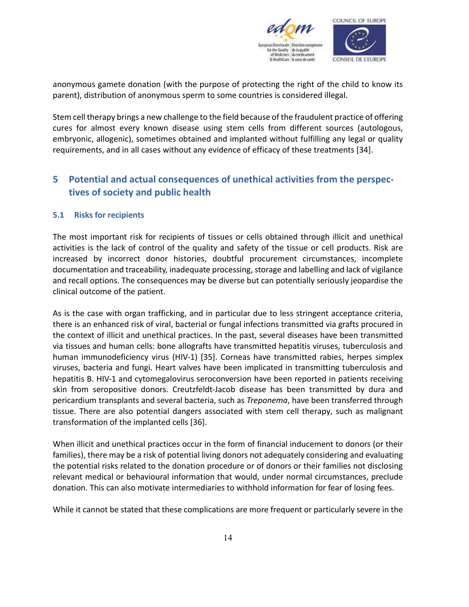

anonymous gamete donation (with the purpose of protecting the right of the child to know its parent), distribution of anonymous sperm to some countries is considered illegal.

Stem cell therapy brings a new challenge to the field because of the fraudulent practice of offering cures for almost every known disease using stem cells from different sources (autologous, embryonic, allogenic), sometimes obtained and implanted without fulfilling any legal or quality requirements, and in all cases without any evidence of efficacy of these treatments [34].

# **5 Potential and actual consequences of unethical activities from the perspectives of society and public health**

## **5.1 Risks for recipients**

The most important risk for recipients of tissues or cells obtained through illicit and unethical activities is the lack of control of the quality and safety of the tissue or cell products. Risk are increased by incorrect donor histories, doubtful procurement circumstances, incomplete documentation and traceability, inadequate processing, storage and labelling and lack of vigilance and recall options. The consequences may be diverse but can potentially seriously jeopardise the clinical outcome of the patient.

As is the case with organ trafficking, and in particular due to less stringent acceptance criteria, there is an enhanced risk of viral, bacterial or fungal infections transmitted via grafts procured in the context of illicit and unethical practices. In the past, several diseases have been transmitted via tissues and human cells: bone allografts have transmitted hepatitis viruses, tuberculosis and human immunodeficiency virus (HIV-1) [35]. Corneas have transmitted rabies, herpes simplex viruses, bacteria and fungi. Heart valves have been implicated in transmitting tuberculosis and hepatitis B. HIV-1 and cytomegalovirus seroconversion have been reported in patients receiving skin from seropositive donors. Creutzfeldt-Jacob disease has been transmitted by dura and pericardium transplants and several bacteria, such as *Treponema*, have been transferred through tissue. There are also potential dangers associated with stem cell therapy, such as malignant transformation of the implanted cells [36].

When illicit and unethical practices occur in the form of financial inducement to donors (or their families), there may be a risk of potential living donors not adequately considering and evaluating the potential risks related to the donation procedure or of donors or their families not disclosing relevant medical or behavioural information that would, under normal circumstances, preclude donation. This can also motivate intermediaries to withhold information for fear of losing fees.

While it cannot be stated that these complications are more frequent or particularly severe in the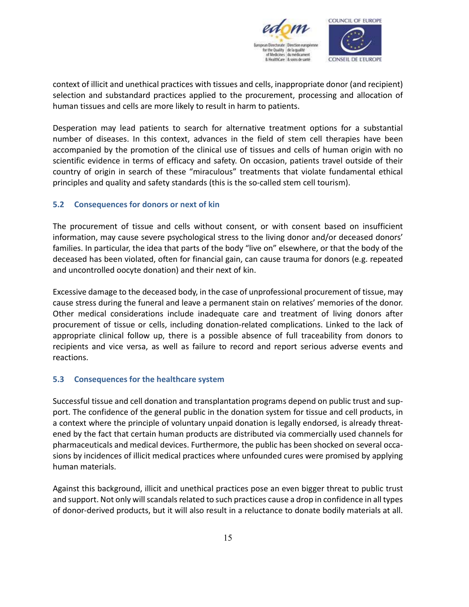

context of illicit and unethical practices with tissues and cells, inappropriate donor (and recipient) selection and substandard practices applied to the procurement, processing and allocation of human tissues and cells are more likely to result in harm to patients.

Desperation may lead patients to search for alternative treatment options for a substantial number of diseases. In this context, advances in the field of stem cell therapies have been accompanied by the promotion of the clinical use of tissues and cells of human origin with no scientific evidence in terms of efficacy and safety. On occasion, patients travel outside of their country of origin in search of these "miraculous" treatments that violate fundamental ethical principles and quality and safety standards (this is the so-called stem cell tourism).

#### **5.2 Consequences for donors or next of kin**

The procurement of tissue and cells without consent, or with consent based on insufficient information, may cause severe psychological stress to the living donor and/or deceased donors' families. In particular, the idea that parts of the body "live on" elsewhere, or that the body of the deceased has been violated, often for financial gain, can cause trauma for donors (e.g. repeated and uncontrolled oocyte donation) and their next of kin.

Excessive damage to the deceased body, in the case of unprofessional procurement of tissue, may cause stress during the funeral and leave a permanent stain on relatives' memories of the donor. Other medical considerations include inadequate care and treatment of living donors after procurement of tissue or cells, including donation-related complications. Linked to the lack of appropriate clinical follow up, there is a possible absence of full traceability from donors to recipients and vice versa, as well as failure to record and report serious adverse events and reactions.

#### **5.3 Consequences for the healthcare system**

Successful tissue and cell donation and transplantation programs depend on public trust and support. The confidence of the general public in the donation system for tissue and cell products, in a context where the principle of voluntary unpaid donation is legally endorsed, is already threatened by the fact that certain human products are distributed via commercially used channels for pharmaceuticals and medical devices. Furthermore, the public has been shocked on several occasions by incidences of illicit medical practices where unfounded cures were promised by applying human materials.

Against this background, illicit and unethical practices pose an even bigger threat to public trust and support. Not only will scandals related to such practices cause a drop in confidence in all types of donor-derived products, but it will also result in a reluctance to donate bodily materials at all.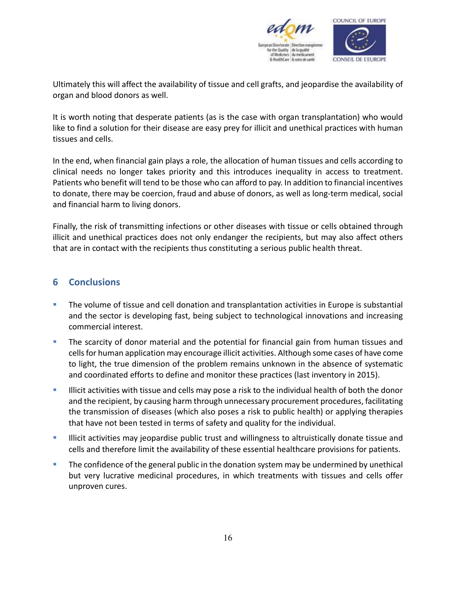

Ultimately this will affect the availability of tissue and cell grafts, and jeopardise the availability of organ and blood donors as well.

It is worth noting that desperate patients (as is the case with organ transplantation) who would like to find a solution for their disease are easy prey for illicit and unethical practices with human tissues and cells.

In the end, when financial gain plays a role, the allocation of human tissues and cells according to clinical needs no longer takes priority and this introduces inequality in access to treatment. Patients who benefit will tend to be those who can afford to pay. In addition to financial incentives to donate, there may be coercion, fraud and abuse of donors, as well as long-term medical, social and financial harm to living donors.

Finally, the risk of transmitting infections or other diseases with tissue or cells obtained through illicit and unethical practices does not only endanger the recipients, but may also affect others that are in contact with the recipients thus constituting a serious public health threat.

## **6 Conclusions**

- **The volume of tissue and cell donation and transplantation activities in Europe is substantial** and the sector is developing fast, being subject to technological innovations and increasing commercial interest.
- **The scarcity of donor material and the potential for financial gain from human tissues and** cells for human application may encourage illicit activities. Although some cases of have come to light, the true dimension of the problem remains unknown in the absence of systematic and coordinated efforts to define and monitor these practices (last inventory in 2015).
- Illicit activities with tissue and cells may pose a risk to the individual health of both the donor and the recipient, by causing harm through unnecessary procurement procedures, facilitating the transmission of diseases (which also poses a risk to public health) or applying therapies that have not been tested in terms of safety and quality for the individual.
- **Illicit activities may jeopardise public trust and willingness to altruistically donate tissue and** cells and therefore limit the availability of these essential healthcare provisions for patients.
- **The confidence of the general public in the donation system may be undermined by unethical** but very lucrative medicinal procedures, in which treatments with tissues and cells offer unproven cures.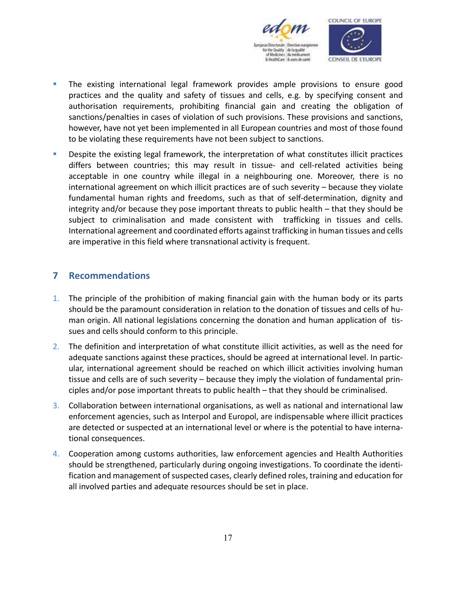

- **The existing international legal framework provides ample provisions to ensure good** practices and the quality and safety of tissues and cells, e.g. by specifying consent and authorisation requirements, prohibiting financial gain and creating the obligation of sanctions/penalties in cases of violation of such provisions. These provisions and sanctions, however, have not yet been implemented in all European countries and most of those found to be violating these requirements have not been subject to sanctions.
- **Despite the existing legal framework, the interpretation of what constitutes illicit practices** differs between countries; this may result in tissue- and cell-related activities being acceptable in one country while illegal in a neighbouring one. Moreover, there is no international agreement on which illicit practices are of such severity – because they violate fundamental human rights and freedoms, such as that of self-determination, dignity and integrity and/or because they pose important threats to public health – that they should be subject to criminalisation and made consistent with trafficking in tissues and cells. International agreement and coordinated efforts against trafficking in human tissues and cells are imperative in this field where transnational activity is frequent.

## **7 Recommendations**

- 1. The principle of the prohibition of making financial gain with the human body or its parts should be the paramount consideration in relation to the donation of tissues and cells of human origin. All national legislations concerning the donation and human application of tissues and cells should conform to this principle.
- 2. The definition and interpretation of what constitute illicit activities, as well as the need for adequate sanctions against these practices, should be agreed at international level. In particular, international agreement should be reached on which illicit activities involving human tissue and cells are of such severity – because they imply the violation of fundamental principles and/or pose important threats to public health – that they should be criminalised.
- 3. Collaboration between international organisations, as well as national and international law enforcement agencies, such as Interpol and Europol, are indispensable where illicit practices are detected or suspected at an international level or where is the potential to have international consequences.
- 4. Cooperation among customs authorities, law enforcement agencies and Health Authorities should be strengthened, particularly during ongoing investigations. To coordinate the identification and management of suspected cases, clearly defined roles, training and education for all involved parties and adequate resources should be set in place.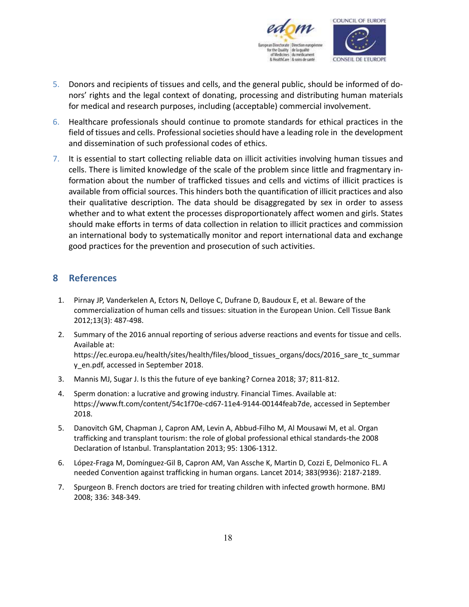

- 5. Donors and recipients of tissues and cells, and the general public, should be informed of donors' rights and the legal context of donating, processing and distributing human materials for medical and research purposes, including (acceptable) commercial involvement.
- 6. Healthcare professionals should continue to promote standards for ethical practices in the field of tissues and cells. Professional societies should have a leading role in the development and dissemination of such professional codes of ethics.
- 7. It is essential to start collecting reliable data on illicit activities involving human tissues and cells. There is limited knowledge of the scale of the problem since little and fragmentary information about the number of trafficked tissues and cells and victims of illicit practices is available from official sources. This hinders both the quantification of illicit practices and also their qualitative description. The data should be disaggregated by sex in order to assess whether and to what extent the processes disproportionately affect women and girls. States should make efforts in terms of data collection in relation to illicit practices and commission an international body to systematically monitor and report international data and exchange good practices for the prevention and prosecution of such activities.

# **8 References**

- 1. Pirnay JP, Vanderkelen A, Ectors N, Delloye C, Dufrane D, Baudoux E, et al. Beware of the commercialization of human cells and tissues: situation in the European Union. Cell Tissue Bank 2012;13(3): 487-498.
- 2. Summary of the 2016 annual reporting of serious adverse reactions and events for tissue and cells. Available at: https://ec.europa.eu/health/sites/health/files/blood\_tissues\_organs/docs/2016\_sare\_tc\_summar y en.pdf, accessed in September 2018.
- 3. Mannis MJ, Sugar J. Is this the future of eye banking? Cornea 2018; 37; 811-812.
- 4. Sperm donation: a lucrative and growing industry. Financial Times. Available at: https://www.ft.com/content/54c1f70e-cd67-11e4-9144-00144feab7de, accessed in September 2018.
- 5. Danovitch GM, Chapman J, Capron AM, Levin A, Abbud-Filho M, Al Mousawi M, et al. Organ trafficking and transplant tourism: the role of global professional ethical standards-the 2008 Declaration of Istanbul. Transplantation 2013; 95: 1306-1312.
- 6. López-Fraga M, Domínguez-Gil B, Capron AM, Van Assche K, Martin D, Cozzi E, Delmonico FL. A needed Convention against trafficking in human organs. Lancet 2014; 383(9936): 2187-2189.
- 7. Spurgeon B. French doctors are tried for treating children with infected growth hormone. BMJ 2008; 336: 348-349.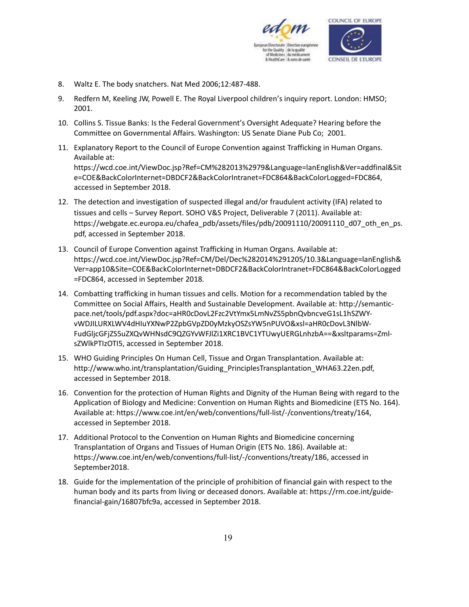

- 8. Waltz E. The body snatchers. Nat Med 2006;12:487-488.
- 9. Redfern M, Keeling JW, Powell E. The Royal Liverpool children's inquiry report. London: HMSO; 2001.
- 10. Collins S. Tissue Banks: Is the Federal Government's Oversight Adequate? Hearing before the Committee on Governmental Affairs. Washington: US Senate Diane Pub Co; 2001.
- 11. Explanatory Report to the Council of Europe Convention against Trafficking in Human Organs. Available at: https://wcd.coe.int/ViewDoc.jsp?Ref=CM%282013%2979&Language=lanEnglish&Ver=addfinal&Sit e=COE&BackColorInternet=DBDCF2&BackColorIntranet=FDC864&BackColorLogged=FDC864, accessed in September 2018.
- 12. The detection and investigation of suspected illegal and/or fraudulent activity (IFA) related to tissues and cells – Survey Report. SOHO V&S Project, Deliverable 7 (2011). Available at: https://webgate.ec.europa.eu/chafea\_pdb/assets/files/pdb/20091110/20091110\_d07\_oth\_en\_ps. pdf, accessed in September 2018.
- 13. Council of Europe Convention against Trafficking in Human Organs. Available at: https://wcd.coe.int/ViewDoc.jsp?Ref=CM/Del/Dec%282014%291205/10.3&Language=lanEnglish& Ver=app10&Site=COE&BackColorInternet=DBDCF2&BackColorIntranet=FDC864&BackColorLogged =FDC864, accessed in September 2018.
- 14. Combatting trafficking in human tissues and cells. Motion for a recommendation tabled by the Committee on Social Affairs, Health and Sustainable Development. Available at: http://semanticpace.net/tools/pdf.aspx?doc=aHR0cDovL2Fzc2VtYmx5LmNvZS5pbnQvbncveG1sL1hSZWYvWDJILURXLWV4dHIuYXNwP2ZpbGVpZD0yMzkyOSZsYW5nPUVO&xsl=aHR0cDovL3NlbW-FudGljcGFjZS5uZXQvWHNsdC9QZGYvWFJlZi1XRC1BVC1YTUwyUERGLnhzbA==&xsltparams=ZmlsZWlkPTIzOTI5, accessed in September 2018.
- 15. WHO Guiding Principles On Human Cell, Tissue and Organ Transplantation. Available at: http://www.who.int/transplantation/Guiding\_PrinciplesTransplantation\_WHA63.22en.pdf, accessed in September 2018.
- 16. Convention for the protection of Human Rights and Dignity of the Human Being with regard to the Application of Biology and Medicine: Convention on Human Rights and Biomedicine (ETS No. 164). Available at: https://www.coe.int/en/web/conventions/full-list/-/conventions/treaty/164, accessed in September 2018.
- 17. Additional Protocol to the Convention on Human Rights and Biomedicine concerning Transplantation of Organs and Tissues of Human Origin (ETS No. 186). Available at: https://www.coe.int/en/web/conventions/full-list/-/conventions/treaty/186, accessed in September2018.
- 18. Guide for the implementation of the principle of prohibition of financial gain with respect to the human body and its parts from living or deceased donors. Available at: https://rm.coe.int/guidefinancial-gain/16807bfc9a, accessed in September 2018.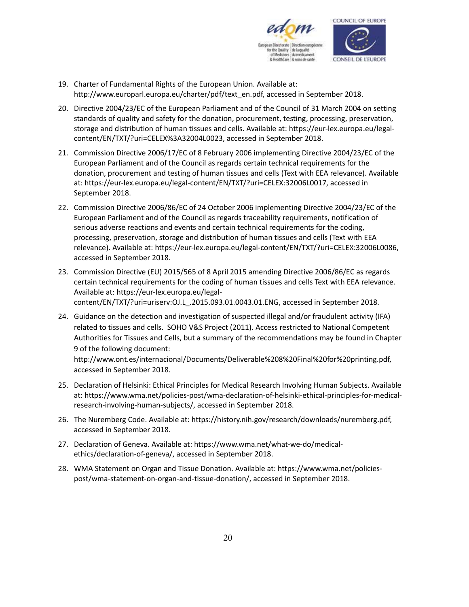

- 19. Charter of Fundamental Rights of the European Union. Available at: http://www.europarl.europa.eu/charter/pdf/text\_en.pdf, accessed in September 2018.
- 20. Directive 2004/23/EC of the European Parliament and of the Council of 31 March 2004 on setting standards of quality and safety for the donation, procurement, testing, processing, preservation, storage and distribution of human tissues and cells. Available at: https://eur-lex.europa.eu/legalcontent/EN/TXT/?uri=CELEX%3A32004L0023, accessed in September 2018.
- 21. Commission Directive 2006/17/EC of 8 February 2006 implementing Directive 2004/23/EC of the European Parliament and of the Council as regards certain technical requirements for the donation, procurement and testing of human tissues and cells (Text with EEA relevance). Available at: https://eur-lex.europa.eu/legal-content/EN/TXT/?uri=CELEX:32006L0017, accessed in September 2018.
- 22. Commission Directive 2006/86/EC of 24 October 2006 implementing Directive 2004/23/EC of the European Parliament and of the Council as regards traceability requirements, notification of serious adverse reactions and events and certain technical requirements for the coding, processing, preservation, storage and distribution of human tissues and cells (Text with EEA relevance). Available at: https://eur-lex.europa.eu/legal-content/EN/TXT/?uri=CELEX:32006L0086, accessed in September 2018.
- 23. Commission Directive (EU) 2015/565 of 8 April 2015 amending Directive 2006/86/EC as regards certain technical requirements for the coding of human tissues and cells Text with EEA relevance. Available at: https://eur-lex.europa.eu/legalcontent/EN/TXT/?uri=uriserv:OJ.L\_.2015.093.01.0043.01.ENG, accessed in September 2018.
- 24. Guidance on the detection and investigation of suspected illegal and/or fraudulent activity (IFA) related to tissues and cells. SOHO V&S Project (2011). Access restricted to National Competent Authorities for Tissues and Cells, but a summary of the recommendations may be found in Chapter 9 of the following document:

http://www.ont.es/internacional/Documents/Deliverable%208%20Final%20for%20printing.pdf, accessed in September 2018.

- 25. Declaration of Helsinki: Ethical Principles for Medical Research Involving Human Subjects. Available at: https://www.wma.net/policies-post/wma-declaration-of-helsinki-ethical-principles-for-medicalresearch-involving-human-subjects/, accessed in September 2018.
- 26. The Nuremberg Code. Available at: https://history.nih.gov/research/downloads/nuremberg.pdf, accessed in September 2018.
- 27. Declaration of Geneva. Available at: https://www.wma.net/what-we-do/medicalethics/declaration-of-geneva/, accessed in September 2018.
- 28. WMA Statement on Organ and Tissue Donation. Available at: https://www.wma.net/policiespost/wma-statement-on-organ-and-tissue-donation/, accessed in September 2018.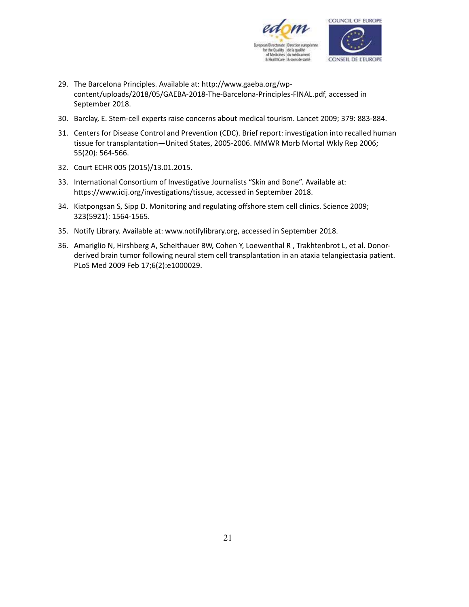

- 29. The Barcelona Principles. Available at: http://www.gaeba.org/wpcontent/uploads/2018/05/GAEBA-2018-The-Barcelona-Principles-FINAL.pdf, accessed in September 2018.
- 30. Barclay, E. Stem-cell experts raise concerns about medical tourism. Lancet 2009; 379: 883-884.
- 31. Centers for Disease Control and Prevention (CDC). Brief report: investigation into recalled human tissue for transplantation—United States, 2005-2006. MMWR Morb Mortal Wkly Rep 2006; 55(20): 564-566.
- 32. Court ECHR 005 (2015)/13.01.2015.
- 33. International Consortium of Investigative Journalists "Skin and Bone". Available at: https://www.icij.org/investigations/tissue, accessed in September 2018.
- 34. Kiatpongsan S, Sipp D. Monitoring and regulating offshore stem cell clinics. Science 2009; 323(5921): 1564-1565.
- 35. Notify Library. Available at: www.notifylibrary.org, accessed in September 2018.
- 36. Amariglio N, Hirshberg A, Scheithauer BW, Cohen Y, Loewenthal R , Trakhtenbrot L, et al. Donorderived brain tumor following neural stem cell transplantation in an ataxia telangiectasia patient. PLoS Med 2009 Feb 17;6(2):e1000029.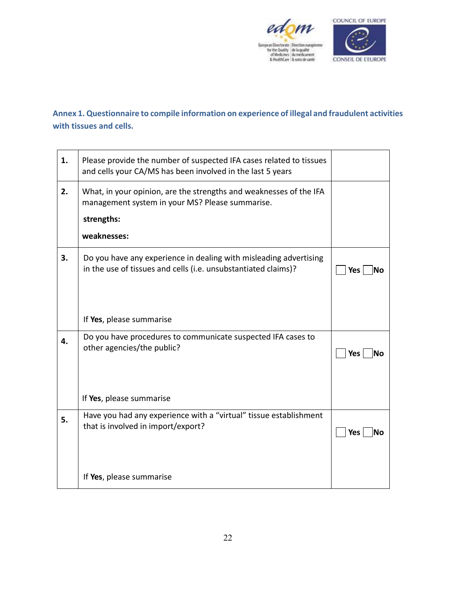

# **Annex 1. Questionnaire to compile information on experience of illegal and fraudulent activities with tissues and cells.**

| 1. | Please provide the number of suspected IFA cases related to tissues<br>and cells your CA/MS has been involved in the last 5 years   |                         |
|----|-------------------------------------------------------------------------------------------------------------------------------------|-------------------------|
| 2. | What, in your opinion, are the strengths and weaknesses of the IFA<br>management system in your MS? Please summarise.               |                         |
|    | strengths:                                                                                                                          |                         |
|    | weaknesses:                                                                                                                         |                         |
| 3. | Do you have any experience in dealing with misleading advertising<br>in the use of tissues and cells (i.e. unsubstantiated claims)? | <b>Yes</b><br><b>No</b> |
|    |                                                                                                                                     |                         |
|    | If Yes, please summarise                                                                                                            |                         |
| 4. | Do you have procedures to communicate suspected IFA cases to<br>other agencies/the public?                                          | <b>Yes</b><br>lNo       |
|    |                                                                                                                                     |                         |
|    | If Yes, please summarise                                                                                                            |                         |
| 5. | Have you had any experience with a "virtual" tissue establishment<br>that is involved in import/export?                             | Yes<br><b>No</b>        |
|    |                                                                                                                                     |                         |
|    | If Yes, please summarise                                                                                                            |                         |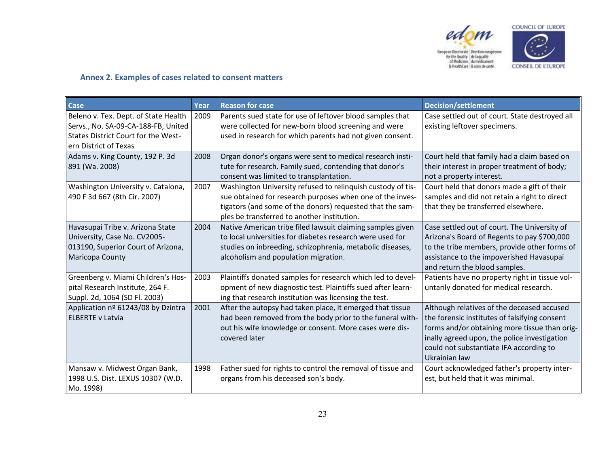

COUNCIL OF EUROPE

 $\begin{array}{ll} \textbf{European Birectorate} & \textbf{Direction experience} \\ \textbf{for the Quaity} & \textbf{de la quality} \\ \textbf{of Mechanics} & \textbf{du} \textbf{ mediante} \\ \textbf{8} & \textbf{HeatthCare} & \textbf{8} \textbf{ soins de samté} \end{array}$ 



## **Annex 2. Examples of cases related to consent matters**

| Case                                                                                                                                        | Year | <b>Reason for case</b>                                                                                                                                                                                                               | <b>Decision/settlement</b>                                                                                                                                                                                                                               |
|---------------------------------------------------------------------------------------------------------------------------------------------|------|--------------------------------------------------------------------------------------------------------------------------------------------------------------------------------------------------------------------------------------|----------------------------------------------------------------------------------------------------------------------------------------------------------------------------------------------------------------------------------------------------------|
| Beleno v. Tex. Dept. of State Health<br>Servs., No. SA-09-CA-188-FB, United<br>States District Court for the West-<br>ern District of Texas | 2009 | Parents sued state for use of leftover blood samples that<br>were collected for new-born blood screening and were<br>used in research for which parents had not given consent.                                                       | Case settled out of court. State destroyed all<br>existing leftover specimens.                                                                                                                                                                           |
| Adams v. King County, 192 P. 3d<br>891 (Wa. 2008)                                                                                           | 2008 | Organ donor's organs were sent to medical research insti-<br>tute for research. Family sued, contending that donor's<br>consent was limited to transplantation.                                                                      | Court held that family had a claim based on<br>their interest in proper treatment of body;<br>not a property interest.                                                                                                                                   |
| Washington University v. Catalona,<br>490 F 3d 667 (8th Cir. 2007)                                                                          | 2007 | Washington University refused to relinquish custody of tis-<br>sue obtained for research purposes when one of the inves-<br>tigators (and some of the donors) requested that the sam-<br>ples be transferred to another institution. | Court held that donors made a gift of their<br>samples and did not retain a right to direct<br>that they be transferred elsewhere.                                                                                                                       |
| Havasupai Tribe v. Arizona State<br>University, Case No. CV2005-<br>013190, Superior Court of Arizona,<br>Maricopa County                   | 2004 | Native American tribe filed lawsuit claiming samples given<br>to local universities for diabetes research were used for<br>studies on inbreeding, schizophrenia, metabolic diseases,<br>alcoholism and population migration.         | Case settled out of court. The University of<br>Arizona's Board of Regents to pay \$700,000<br>to the tribe members, provide other forms of<br>assistance to the impoverished Havasupai<br>and return the blood samples.                                 |
| Greenberg v. Miami Children's Hos-<br>pital Research Institute, 264 F.<br>Suppl. 2d, 1064 (SD Fl. 2003)                                     | 2003 | Plaintiffs donated samples for research which led to devel-<br>opment of new diagnostic test. Plaintiffs sued after learn-<br>ing that research institution was licensing the test.                                                  | Patients have no property right in tissue vol-<br>untarily donated for medical research.                                                                                                                                                                 |
| Application nº 61243/08 by Dzintra<br><b>ELBERTE v Latvia</b>                                                                               | 2001 | After the autopsy had taken place, it emerged that tissue<br>had been removed from the body prior to the funeral with-<br>out his wife knowledge or consent. More cases were dis-<br>covered later                                   | Although relatives of the deceased accused<br>the forensic institutes of falsifying consent<br>forms and/or obtaining more tissue than orig-<br>inally agreed upon, the police investigation<br>could not substantiate IFA according to<br>Ukrainian law |
| Mansaw v. Midwest Organ Bank,<br>1998 U.S. Dist. LEXUS 10307 (W.D.<br>Mo. 1998)                                                             | 1998 | Father sued for rights to control the removal of tissue and<br>organs from his deceased son's body.                                                                                                                                  | Court acknowledged father's property inter-<br>est, but held that it was minimal.                                                                                                                                                                        |